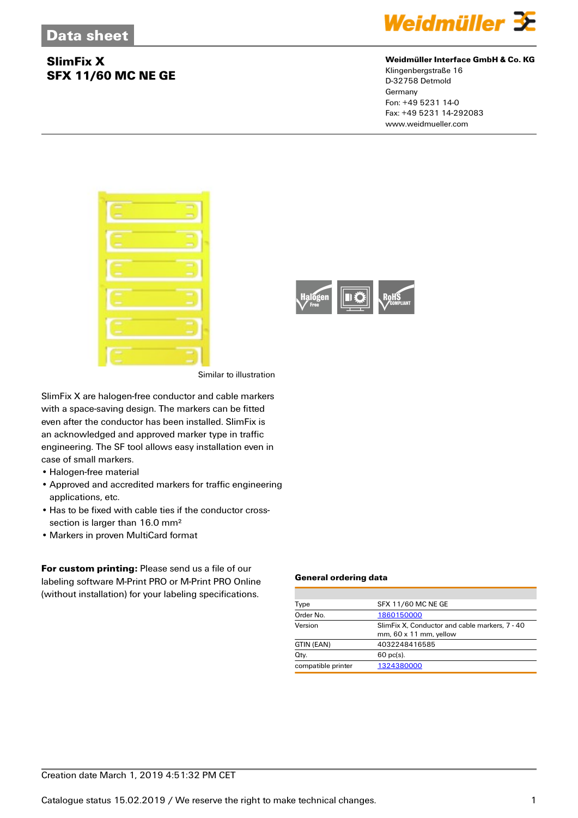## **SlimFix X SFX 11/60 MC NE GE**



### **Weidmüller Interface GmbH & Co. KG**

Klingenbergstraße 16 D-32758 Detmold Germany Fon: +49 5231 14-0 Fax: +49 5231 14-292083 www.weidmueller.com





Similar to illustration

SlimFix X are halogen-free conductor and cable markers with a space-saving design. The markers can be fitted even after the conductor has been installed. SlimFix is an acknowledged and approved marker type in traffic engineering. The SF tool allows easy installation even in case of small markers.

- Halogen-free material
- Approved and accredited markers for traffic engineering applications, etc.
- Has to be fixed with cable ties if the conductor crosssection is larger than 16.0 mm<sup>2</sup>
- Markers in proven MultiCard format

**For custom printing:** Please send us a file of our labeling software M-Print PRO or M-Print PRO Online (without installation) for your labeling specifications.

#### **General ordering data**

| Type               | <b>SFX 11/60 MC NE GE</b>                                                          |  |  |
|--------------------|------------------------------------------------------------------------------------|--|--|
| Order No.          | 1860150000                                                                         |  |  |
| Version            | SlimFix X. Conductor and cable markers. 7 - 40<br>$mm, 60 \times 11 \, mm,$ yellow |  |  |
| GTIN (EAN)         | 4032248416585                                                                      |  |  |
| Qty.               | $60$ pc(s).                                                                        |  |  |
| compatible printer | 1324380000                                                                         |  |  |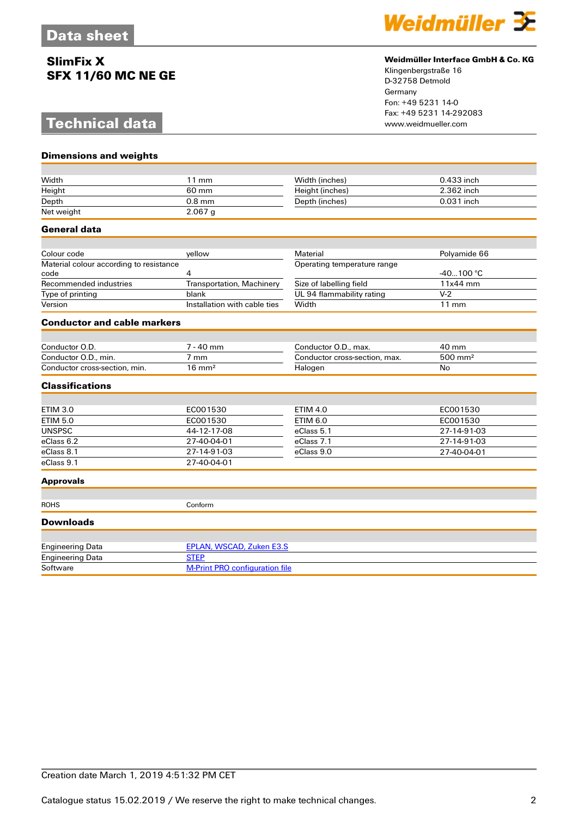## **SlimFix X SFX 11/60 MC NE GE**

# **Technical data**

**Dimensions and weights**



### **Weidmüller Interface GmbH & Co. KG**

Klingenbergstraße 16 D-32758 Detmold Germany Fon: +49 5231 14-0 Fax: +49 5231 14-292083

| Width                                           | $11$ mm                               | Width (inches)                | 0.433 inch          |  |
|-------------------------------------------------|---------------------------------------|-------------------------------|---------------------|--|
| Height                                          | 60 mm                                 | Height (inches)               | 2.362 inch          |  |
| Depth                                           | $0.8$ mm                              | Depth (inches)                | 0.031 inch          |  |
| Net weight                                      | $2.067$ g                             |                               |                     |  |
| <b>General data</b>                             |                                       |                               |                     |  |
|                                                 |                                       |                               |                     |  |
| Colour code                                     | vellow                                | Material                      | Polyamide 66        |  |
| Material colour according to resistance<br>code | 4                                     | Operating temperature range   | $-40100 °C$         |  |
| Recommended industries                          | Transportation, Machinery             | Size of labelling field       | 11x44 mm            |  |
| Type of printing                                | blank                                 | UL 94 flammability rating     | $V-2$               |  |
| Version                                         | Installation with cable ties          | Width                         | $11 \text{ mm}$     |  |
| <b>Conductor and cable markers</b>              |                                       |                               |                     |  |
|                                                 |                                       |                               |                     |  |
| Conductor O.D.                                  | $7 - 40$ mm                           | Conductor O.D., max.          | 40 mm               |  |
| Conductor O.D., min.                            | $7 \text{ mm}$                        | Conductor cross-section, max. | 500 mm <sup>2</sup> |  |
| Conductor cross-section, min.                   | $16 \text{ mm}^2$                     | Halogen                       | No                  |  |
| <b>Classifications</b>                          |                                       |                               |                     |  |
|                                                 |                                       |                               |                     |  |
| <b>ETIM 3.0</b>                                 | EC001530                              | <b>ETIM 4.0</b>               | EC001530            |  |
| <b>ETIM 5.0</b>                                 | EC001530                              | <b>ETIM 6.0</b>               | EC001530            |  |
| <b>UNSPSC</b>                                   | 44-12-17-08                           | eClass 5.1                    | 27-14-91-03         |  |
| eClass 6.2                                      | 27-40-04-01                           | eClass 7.1                    | 27-14-91-03         |  |
| eClass 8.1                                      | 27-14-91-03                           | eClass 9.0                    | 27-40-04-01         |  |
| eClass 9.1                                      | 27-40-04-01                           |                               |                     |  |
| <b>Approvals</b>                                |                                       |                               |                     |  |
| <b>ROHS</b>                                     | Conform                               |                               |                     |  |
| <b>Downloads</b>                                |                                       |                               |                     |  |
|                                                 |                                       |                               |                     |  |
| <b>Engineering Data</b>                         | EPLAN, WSCAD, Zuken E3.S              |                               |                     |  |
| <b>Engineering Data</b>                         | <b>STEP</b>                           |                               |                     |  |
| Software                                        | <b>M-Print PRO configuration file</b> |                               |                     |  |
|                                                 |                                       |                               |                     |  |